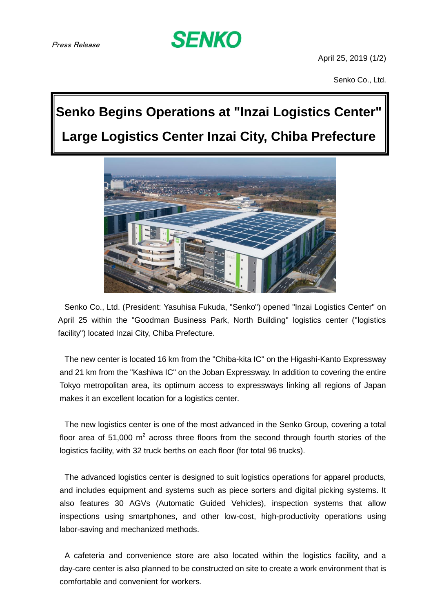

April 25, 2019 (1/2)

Senko Co., Ltd.

## **Senko Begins Operations at "Inzai Logistics Center" Large Logistics Center Inzai City, Chiba Prefecture**



Senko Co., Ltd. (President: Yasuhisa Fukuda, "Senko") opened "Inzai Logistics Center" on April 25 within the "Goodman Business Park, North Building" logistics center ("logistics facility") located Inzai City, Chiba Prefecture.

The new center is located 16 km from the "Chiba-kita IC" on the Higashi-Kanto Expressway and 21 km from the "Kashiwa IC" on the Joban Expressway. In addition to covering the entire Tokyo metropolitan area, its optimum access to expressways linking all regions of Japan makes it an excellent location for a logistics center.

The new logistics center is one of the most advanced in the Senko Group, covering a total floor area of 51,000  $m^2$  across three floors from the second through fourth stories of the logistics facility, with 32 truck berths on each floor (for total 96 trucks).

The advanced logistics center is designed to suit logistics operations for apparel products, and includes equipment and systems such as piece sorters and digital picking systems. It also features 30 AGVs (Automatic Guided Vehicles), inspection systems that allow inspections using smartphones, and other low-cost, high-productivity operations using labor-saving and mechanized methods.

A cafeteria and convenience store are also located within the logistics facility, and a day-care center is also planned to be constructed on site to create a work environment that is comfortable and convenient for workers.